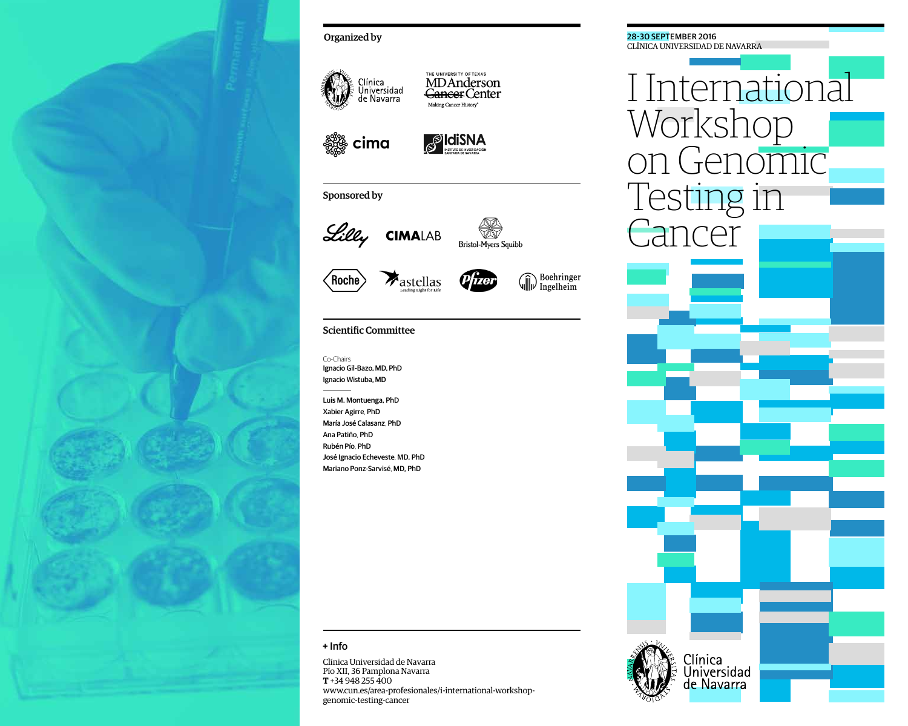

# Organized by



**MDAnderson** Cancer Center Making Cancer History<sup>®</sup>

cima



THE UNIVERSITY OF TEXAS

# Sponsored by



Bristol-Myers Squibb





# Scientific Committee

Co-Chairs Ignacio Gil-Bazo, MD, PhD Ignacio Wistuba, MD

Luis M. Montuenga, PhD Xabier Agirre, PhD María José Calasanz, PhD Ana Patiño, PhD Rubén Pío, PhD José Ignacio Echeveste, MD, PhD Mariano Ponz-Sarvisé, MD, PhD

### + Info

Clínica Universidad de Navarra Pío XII, 36 Pamplona Navarra **T** +34 948 255 400 www.cun.es/area-profesionales/i-international-workshopgenomic-testing-cancer